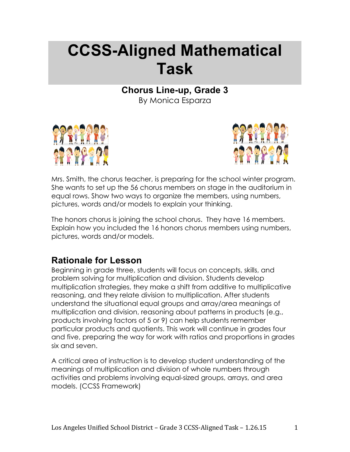# **CCSS-Aligned Mathematical Task**

**Chorus Line-up, Grade 3**

By Monica Esparza





Mrs. Smith, the chorus teacher, is preparing for the school winter program. She wants to set up the 56 chorus members on stage in the auditorium in equal rows. Show two ways to organize the members, using numbers, pictures, words and/or models to explain your thinking.

The honors chorus is joining the school chorus. They have 16 members. Explain how you included the 16 honors chorus members using numbers, pictures, words and/or models.

# **Rationale for Lesson**

Beginning in grade three, students will focus on concepts, skills, and problem solving for multiplication and division. Students develop multiplication strategies, they make a shift from additive to multiplicative reasoning, and they relate division to multiplication. After students understand the situational equal groups and array/area meanings of multiplication and division, reasoning about patterns in products (e.g., products involving factors of 5 or 9) can help students remember particular products and quotients. This work will continue in grades four and five, preparing the way for work with ratios and proportions in grades six and seven.

A critical area of instruction is to develop student understanding of the meanings of multiplication and division of whole numbers through activities and problems involving equal-sized groups, arrays, and area models. (CCSS Framework)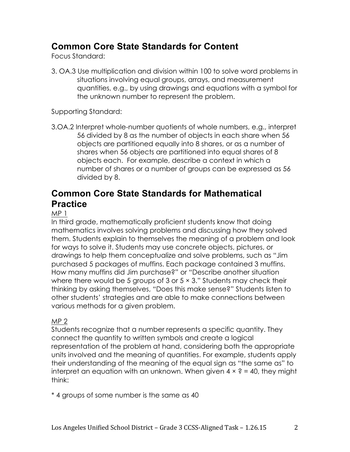# **Common Core State Standards for Content**

Focus Standard:

3. OA.3 Use multiplication and division within 100 to solve word problems in situations involving equal groups, arrays, and measurement quantities, e.g., by using drawings and equations with a symbol for the unknown number to represent the problem.

Supporting Standard:

3.OA.2 Interpret whole-number quotients of whole numbers, e.g., interpret 56 divided by 8 as the number of objects in each share when 56 objects are partitioned equally into 8 shares, or as a number of shares when 56 objects are partitioned into equal shares of 8 objects each. For example, describe a context in which a number of shares or a number of groups can be expressed as 56 divided by 8.

### **Common Core State Standards for Mathematical Practice**

#### MP 1

In third grade, mathematically proficient students know that doing mathematics involves solving problems and discussing how they solved them. Students explain to themselves the meaning of a problem and look for ways to solve it. Students may use concrete objects, pictures, or drawings to help them conceptualize and solve problems, such as "Jim purchased 5 packages of muffins. Each package contained 3 muffins. How many muffins did Jim purchase?" or "Describe another situation where there would be 5 groups of 3 or  $5 \times 3$ ." Students may check their thinking by asking themselves, "Does this make sense?" Students listen to other students' strategies and are able to make connections between various methods for a given problem.

### MP 2

Students recognize that a number represents a specific quantity. They connect the quantity to written symbols and create a logical representation of the problem at hand, considering both the appropriate units involved and the meaning of quantities. For example, students apply their understanding of the meaning of the equal sign as "the same as" to interpret an equation with an unknown. When given  $4 \times ? = 40$ , they might think:

\* 4 groups of some number is the same as 40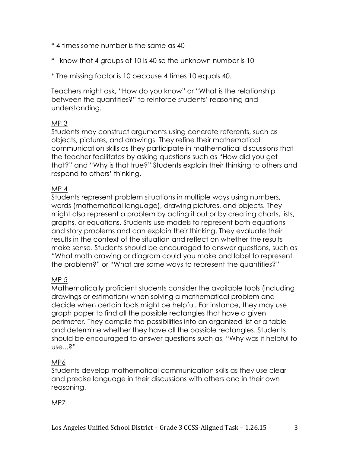- \* 4 times some number is the same as 40
- \* I know that 4 groups of 10 is 40 so the unknown number is 10
- \* The missing factor is 10 because 4 times 10 equals 40.

Teachers might ask, "How do you know" or "What is the relationship between the quantities?" to reinforce students' reasoning and understanding.

### MP 3

Students may construct arguments using concrete referents, such as objects, pictures, and drawings. They refine their mathematical communication skills as they participate in mathematical discussions that the teacher facilitates by asking questions such as "How did you get that?" and "Why is that true?" Students explain their thinking to others and respond to others' thinking.

### MP 4

Students represent problem situations in multiple ways using numbers, words (mathematical language), drawing pictures, and objects. They might also represent a problem by acting it out or by creating charts, lists, graphs, or equations. Students use models to represent both equations and story problems and can explain their thinking. They evaluate their results in the context of the situation and reflect on whether the results make sense. Students should be encouraged to answer questions, such as "What math drawing or diagram could you make and label to represent the problem?" or "What are some ways to represent the quantities?"

### MP 5

Mathematically proficient students consider the available tools (including drawings or estimation) when solving a mathematical problem and decide when certain tools might be helpful. For instance, they may use graph paper to find all the possible rectangles that have a given perimeter. They compile the possibilities into an organized list or a table and determine whether they have all the possible rectangles. Students should be encouraged to answer questions such as, "Why was it helpful to use...?"

#### MP6

Students develop mathematical communication skills as they use clear and precise language in their discussions with others and in their own reasoning.

#### MP7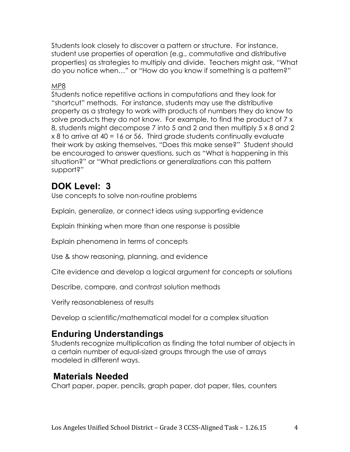Students look closely to discover a pattern or structure. For instance, student use properties of operation (e.g., commutative and distributive properties) as strategies to multiply and divide. Teachers might ask, "What do you notice when…" or "How do you know if something is a pattern?"

### MP8

Students notice repetitive actions in computations and they look for "shortcut" methods. For instance, students may use the distributive property as a strategy to work with products of numbers they do know to solve products they do not know. For example, to find the product of 7 x 8, students might decompose 7 into 5 and 2 and then multiply 5 x 8 and 2 x 8 to arrive at 40 = 16 or 56. Third grade students continually evaluate their work by asking themselves, "Does this make sense?" Student should be encouraged to answer questions, such as "What is happening in this situation?" or "What predictions or generalizations can this pattern support?"

# **DOK Level: 3**

Use concepts to solve non-routine problems

Explain, generalize, or connect ideas using supporting evidence

Explain thinking when more than one response is possible

Explain phenomena in terms of concepts

Use & show reasoning, planning, and evidence

Cite evidence and develop a logical argument for concepts or solutions

Describe, compare, and contrast solution methods

Verify reasonableness of results

Develop a scientific/mathematical model for a complex situation

# **Enduring Understandings**

Students recognize multiplication as finding the total number of objects in a certain number of equal-sized groups through the use of arrays modeled in different ways.

### **Materials Needed**

Chart paper, paper, pencils, graph paper, dot paper, tiles, counters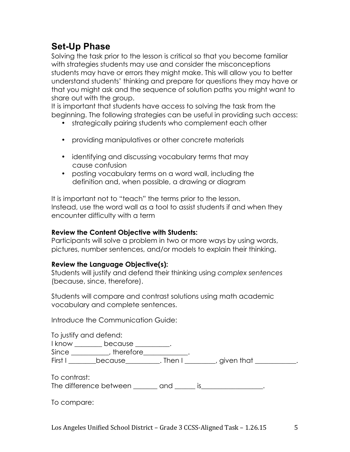# **Set-Up Phase**

Solving the task prior to the lesson is critical so that you become familiar with strategies students may use and consider the misconceptions students may have or errors they might make. This will allow you to better understand students' thinking and prepare for questions they may have or that you might ask and the sequence of solution paths you might want to share out with the group.

It is important that students have access to solving the task from the beginning. The following strategies can be useful in providing such access:

- strategically pairing students who complement each other
- providing manipulatives or other concrete materials
- identifying and discussing vocabulary terms that may cause confusion
- posting vocabulary terms on a word wall, including the definition and, when possible, a drawing or diagram

It is important not to "teach" the terms prior to the lesson. Instead, use the word wall as a tool to assist students if and when they encounter difficulty with a term

### **Review the Content Objective with Students:**

Participants will solve a problem in two or more ways by using words, pictures, number sentences, and/or models to explain their thinking.

### **Review the Language Objective(s):**

Students will justify and defend their thinking using *complex sentences* (because, since, therefore).

Students will compare and contrast solutions using math academic vocabulary and complete sentences.

Introduce the Communication Guide:

|        | To justify and defend: |      |            |  |
|--------|------------------------|------|------------|--|
| I know | because                |      |            |  |
| Since  | therefore              |      |            |  |
| First  | because                | Then | given that |  |

To contrast:

The difference between \_\_\_\_\_\_\_ and \_\_\_\_\_\_ is\_\_\_\_\_\_\_\_\_\_\_\_\_\_\_\_\_\_.

To compare: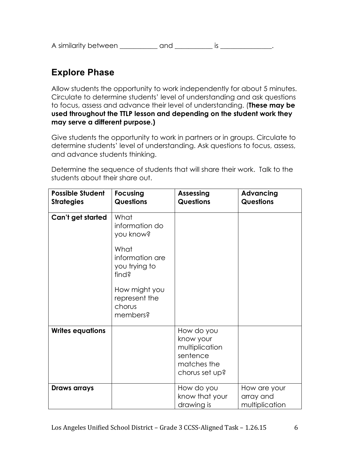A similarity between \_\_\_\_\_\_\_\_\_\_ and \_\_\_\_\_\_\_\_\_\_ is \_\_\_\_\_\_\_\_\_\_\_\_\_.

# **Explore Phase**

Allow students the opportunity to work independently for about 5 minutes. Circulate to determine students' level of understanding and ask questions to focus, assess and advance their level of understanding. (**These may be used throughout the TTLP lesson and depending on the student work they may serve a different purpose.)**

Give students the opportunity to work in partners or in groups. Circulate to determine students' level of understanding. Ask questions to focus, assess, and advance students thinking.

Determine the sequence of students that will share their work. Talk to the students about their share out.

| <b>Possible Student</b><br><b>Strategies</b> | <b>Focusing</b><br><b>Questions</b>                                                                                                              | <b>Assessing</b><br><b>Questions</b>                                                   | <b>Advancing</b><br><b>Questions</b>        |
|----------------------------------------------|--------------------------------------------------------------------------------------------------------------------------------------------------|----------------------------------------------------------------------------------------|---------------------------------------------|
| Can't get started                            | What<br>information do<br>you know?<br>What<br>information are<br>you trying to<br>find?<br>How might you<br>represent the<br>chorus<br>members? |                                                                                        |                                             |
| <b>Writes equations</b>                      |                                                                                                                                                  | How do you<br>know your<br>multiplication<br>sentence<br>matches the<br>chorus set up? |                                             |
| Draws arrays                                 |                                                                                                                                                  | How do you<br>know that your<br>drawing is                                             | How are your<br>array and<br>multiplication |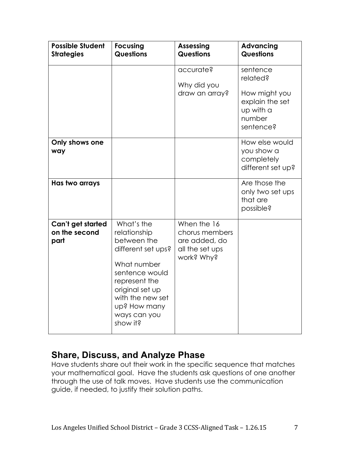| <b>Possible Student</b><br><b>Strategies</b> | <b>Focusing</b><br><b>Questions</b>                                                                                                                                                                  | <b>Assessing</b><br><b>Questions</b>                                            | <b>Advancing</b><br><b>Questions</b>                            |
|----------------------------------------------|------------------------------------------------------------------------------------------------------------------------------------------------------------------------------------------------------|---------------------------------------------------------------------------------|-----------------------------------------------------------------|
|                                              |                                                                                                                                                                                                      | accurate?<br>Why did you<br>draw an array?                                      | sentence<br>related?<br>How might you                           |
|                                              |                                                                                                                                                                                                      |                                                                                 | explain the set<br>up with a<br>number<br>sentence?             |
| Only shows one<br>way                        |                                                                                                                                                                                                      |                                                                                 | How else would<br>you show a<br>completely<br>different set up? |
| Has two arrays                               |                                                                                                                                                                                                      |                                                                                 | Are those the<br>only two set ups<br>that are<br>possible?      |
| Can't get started<br>on the second<br>part   | What's the<br>relationship<br>between the<br>different set ups?<br>What number<br>sentence would<br>represent the<br>original set up<br>with the new set<br>up? How many<br>ways can you<br>show it? | When the 16<br>chorus members<br>are added, do<br>all the set ups<br>work? Why? |                                                                 |

### **Share, Discuss, and Analyze Phase**

Have students share out their work in the specific sequence that matches your mathematical goal. Have the students ask questions of one another through the use of talk moves. Have students use the communication guide, if needed, to justify their solution paths.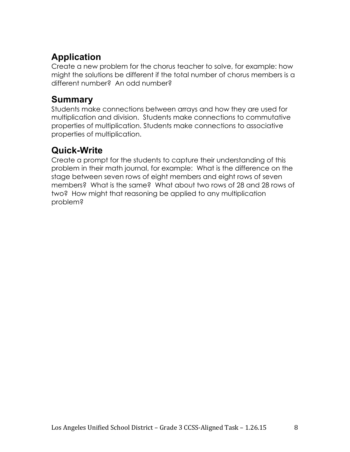# **Application**

Create a new problem for the chorus teacher to solve, for example: how might the solutions be different if the total number of chorus members is a different number? An odd number?

# **Summary**

Students make connections between arrays and how they are used for multiplication and division. Students make connections to commutative properties of multiplication. Students make connections to associative properties of multiplication.

# **Quick-Write**

Create a prompt for the students to capture their understanding of this problem in their math journal, for example: What is the difference on the stage between seven rows of eight members and eight rows of seven members? What is the same? What about two rows of 28 and 28 rows of two? How might that reasoning be applied to any multiplication problem?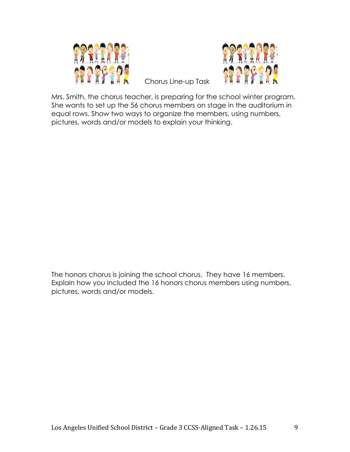



 Chorus Line-up Task

Mrs. Smith, the chorus teacher, is preparing for the school winter program. She wants to set up the 56 chorus members on stage in the auditorium in equal rows. Show two ways to organize the members, using numbers, pictures, words and/or models to explain your thinking.

The honors chorus is joining the school chorus. They have 16 members. Explain how you included the 16 honors chorus members using numbers, pictures, words and/or models.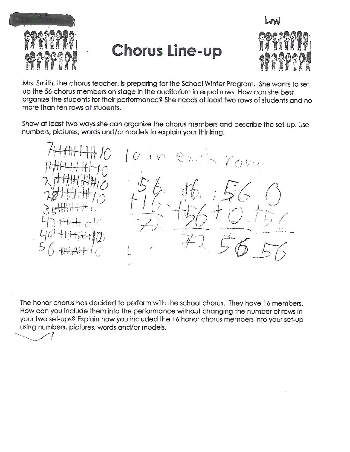

**Chorus Line-up** 



Mrs. Smith, the chorus teacher, is preparing for the School Winter Program. She wants to set up the 56 chorus members on stage in the auditorium in equal rows. How can she best organize the students for their performance? She needs at least two rows of students and no more than ten rows of students.

Show at least two ways she can organize the chorus members and describe the set-up. Use numbers, pictures, words and/or models to explain your thinking.

 $O_{\alpha}$ 

The honor chorus has decided to perform with the school chorus. They have 16 members. How can you include them into the performance without changing the number of rows in your two set-ups? Explain how you included the 16 honor chorus members into your set-up using numbers, pictures, words and/or models.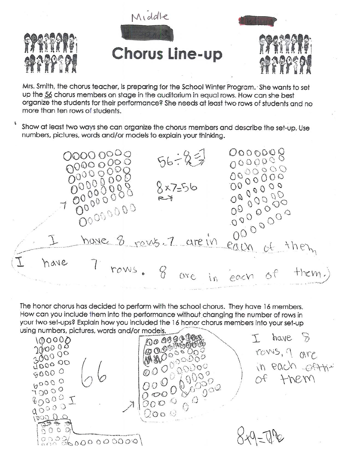

Mrs. Smith, the chorus teacher, is preparing for the School Winter Program. She wants to set up the 56 chorus members on stage in the auditorium in equal rows. How can she best organize the students for their performance? She needs at least two rows of students and no more than ten rows of students.

Show at least two ways she can organize the chorus members and describe the set-up. Use numbers, pictures, words and/or models to explain your thinking.

0000000 00000000  $56 - 22$ 00000000  $0000000$ OOOOOOOO 0000000 8x7=56 0000000 OQ OQOOO 0000000 090000000 Oppopoo 0000000 have 8 rous. 7 are in each  $ct$  then 7 rows. 8 are have each of  $\eta i$ 

The honor chorus has decided to perform with the school chorus. They have 16 members. How can you include them into the performance without changing the number of rows in your two set-ups? Explain how you included the 16 honor chorus members into your set-up using numbers, pictures, words and/or models.

00 00 00 00  $\mathcal{D}$ have  $100000$ **EQUALISTER**  $2000000$ ronis, a give 300000 0000000000 4000 00 in each offthe 80000 of them 00000  $0^0$   $0^0$   $0^0$  $70000$  $0000$  $80000$ 0000  $00000$  $\overline{\mathbb{Q}}$ oo  $\overline{\mathbb{Q}}$  $20000$ ್ತರಿ ರಿ<br>೧೧ ೧  $2223600000000$